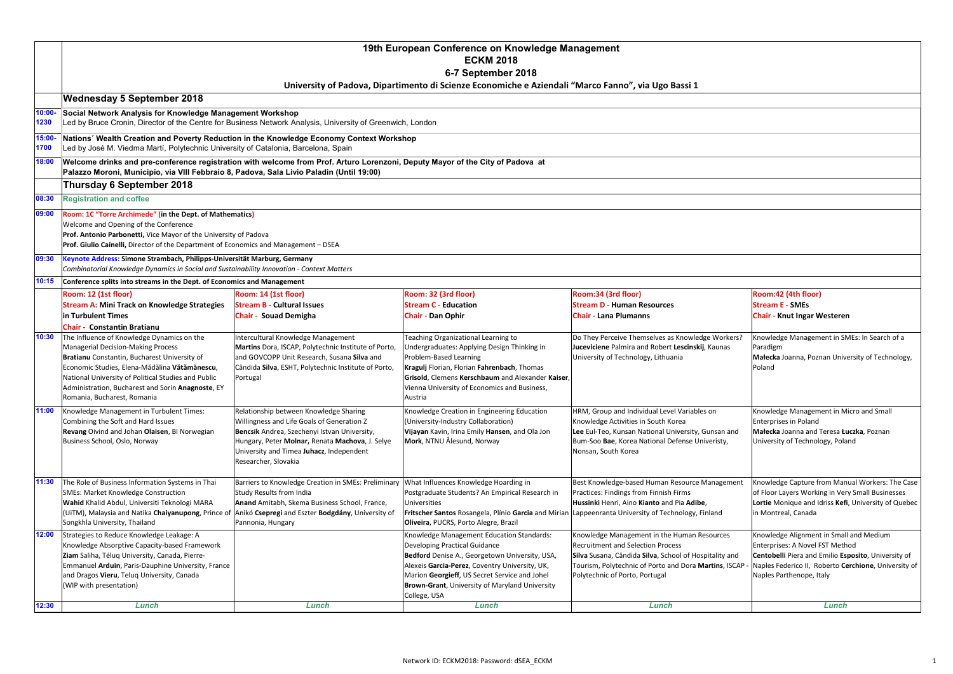|       | 19th European Conference on Knowledge Management<br><b>ECKM 2018</b><br>6-7 September 2018<br>University of Padova, Dipartimento di Scienze Economiche e Aziendali "Marco Fanno", via Ugo Bassi 1                                                                                                                                                                                  |                                                                                                                                                                                                                                                             |                                                                                                                                                                                                                                                                             |                                                                                                                                                                                                                      |                                                                                                                                                                                    |  |  |  |
|-------|------------------------------------------------------------------------------------------------------------------------------------------------------------------------------------------------------------------------------------------------------------------------------------------------------------------------------------------------------------------------------------|-------------------------------------------------------------------------------------------------------------------------------------------------------------------------------------------------------------------------------------------------------------|-----------------------------------------------------------------------------------------------------------------------------------------------------------------------------------------------------------------------------------------------------------------------------|----------------------------------------------------------------------------------------------------------------------------------------------------------------------------------------------------------------------|------------------------------------------------------------------------------------------------------------------------------------------------------------------------------------|--|--|--|
|       |                                                                                                                                                                                                                                                                                                                                                                                    |                                                                                                                                                                                                                                                             |                                                                                                                                                                                                                                                                             |                                                                                                                                                                                                                      |                                                                                                                                                                                    |  |  |  |
|       | <b>Wednesday 5 September 2018</b>                                                                                                                                                                                                                                                                                                                                                  |                                                                                                                                                                                                                                                             |                                                                                                                                                                                                                                                                             |                                                                                                                                                                                                                      |                                                                                                                                                                                    |  |  |  |
|       | $10:00 -$<br>1230                                                                                                                                                                                                                                                                                                                                                                  | Social Network Analysis for Knowledge Management Workshop<br>Led by Bruce Cronin, Director of the Centre for Business Network Analysis, University of Greenwich, London                                                                                     |                                                                                                                                                                                                                                                                             |                                                                                                                                                                                                                      |                                                                                                                                                                                    |  |  |  |
|       | 15:00-<br>1700                                                                                                                                                                                                                                                                                                                                                                     | Nations' Wealth Creation and Poverty Reduction in the Knowledge Economy Context Workshop<br>Led by José M. Viedma Martí, Polytechnic University of Catalonia, Barcelona, Spain                                                                              |                                                                                                                                                                                                                                                                             |                                                                                                                                                                                                                      |                                                                                                                                                                                    |  |  |  |
| 18:00 | Welcome drinks and pre-conference registration with welcome from Prof. Arturo Lorenzoni, Deputy Mayor of the City of Padova at<br>Palazzo Moroni, Municipio, via VIII Febbraio 8, Padova, Sala Livio Paladin (Until 19:00)                                                                                                                                                         |                                                                                                                                                                                                                                                             |                                                                                                                                                                                                                                                                             |                                                                                                                                                                                                                      |                                                                                                                                                                                    |  |  |  |
|       | Thursday 6 September 2018                                                                                                                                                                                                                                                                                                                                                          |                                                                                                                                                                                                                                                             |                                                                                                                                                                                                                                                                             |                                                                                                                                                                                                                      |                                                                                                                                                                                    |  |  |  |
|       | <b>Registration and coffee</b><br>08:30                                                                                                                                                                                                                                                                                                                                            |                                                                                                                                                                                                                                                             |                                                                                                                                                                                                                                                                             |                                                                                                                                                                                                                      |                                                                                                                                                                                    |  |  |  |
|       | 09:00<br>Welcome and Opening of the Conference                                                                                                                                                                                                                                                                                                                                     | Room: 1C "Torre Archimede" (in the Dept. of Mathematics)<br>Prof. Antonio Parbonetti, Vice Mayor of the University of Padova<br>Prof. Giulio Cainelli, Director of the Department of Economics and Management - DSEA                                        |                                                                                                                                                                                                                                                                             |                                                                                                                                                                                                                      |                                                                                                                                                                                    |  |  |  |
|       | 09:30                                                                                                                                                                                                                                                                                                                                                                              | Keynote Address: Simone Strambach, Philipps-Universität Marburg, Germany<br>Combinatorial Knowledge Dynamics in Social and Sustainability Innovation - Context Matters                                                                                      |                                                                                                                                                                                                                                                                             |                                                                                                                                                                                                                      |                                                                                                                                                                                    |  |  |  |
|       | 10:15                                                                                                                                                                                                                                                                                                                                                                              | Conference splits into streams in the Dept. of Economics and Management                                                                                                                                                                                     |                                                                                                                                                                                                                                                                             |                                                                                                                                                                                                                      |                                                                                                                                                                                    |  |  |  |
|       | Room: 12 (1st floor)                                                                                                                                                                                                                                                                                                                                                               | Room: 14 (1st floor)                                                                                                                                                                                                                                        | Room: 32 (3rd floor)                                                                                                                                                                                                                                                        | Room:34 (3rd floor)                                                                                                                                                                                                  | Room:42 (4th floor)                                                                                                                                                                |  |  |  |
|       | <b>Stream A: Mini Track on Knowledge Strategies</b>                                                                                                                                                                                                                                                                                                                                | <b>Stream B - Cultural Issues</b>                                                                                                                                                                                                                           | <b>Stream C - Education</b>                                                                                                                                                                                                                                                 | <b>Stream D - Human Resources</b>                                                                                                                                                                                    | <b>Stream E - SMEs</b>                                                                                                                                                             |  |  |  |
|       | in Turbulent Times                                                                                                                                                                                                                                                                                                                                                                 | Chair - Souad Demigha                                                                                                                                                                                                                                       | <b>Chair - Dan Ophir</b>                                                                                                                                                                                                                                                    | <b>Chair - Lana Plumanns</b>                                                                                                                                                                                         | <b>Chair - Knut Ingar Westeren</b>                                                                                                                                                 |  |  |  |
|       | <b>Chair - Constantin Bratianu</b><br>10:30<br>The Influence of Knowledge Dynamics on the<br><b>Managerial Decision-Making Process</b><br>Bratianu Constantin, Bucharest University of<br>Economic Studies, Elena-Mădălina Vătămănescu,<br>National University of Political Studies and Public<br>Administration, Bucharest and Sorin Anagnoste, EY<br>Romania, Bucharest, Romania | Intercultural Knowledge Management<br>Martins Dora, ISCAP, Polytechnic Institute of Porto,<br>and GOVCOPP Unit Research, Susana Silva and<br>Cândida Silva, ESHT, Polytechnic Institute of Porto,<br>Portugal                                               | Teaching Organizational Learning to<br>Undergraduates: Applying Design Thinking in<br>Problem-Based Learning<br>Kragulj Florian, Florian Fahrenbach, Thomas<br>Grisold, Clemens Kerschbaum and Alexander Kaiser,<br>Vienna University of Economics and Business,<br>Austria | Do They Perceive Themselves as Knowledge Workers?<br>Juceviciene Palmira and Robert Lescinskij, Kaunas<br>University of Technology, Lithuania                                                                        | Knowledge Management in SMEs: In Search of a<br>Paradigm<br>Małecka Joanna, Poznan University of Technology,<br>Poland                                                             |  |  |  |
|       | 11:00<br>Knowledge Management in Turbulent Times:<br>Combining the Soft and Hard Issues<br>Revang Oivind and Johan Olaisen, BI Norwegian<br>Business School, Oslo, Norway                                                                                                                                                                                                          | Relationship between Knowledge Sharing<br>Willingness and Life Goals of Generation Z<br>Bencsik Andrea, Szechenyi Istvan University,<br>Hungary, Peter Molnar, Renata Machova, J. Selye<br>University and Timea Juhacz, Independent<br>Researcher, Slovakia | Knowledge Creation in Engineering Education<br>(University-Industry Collaboration)<br>Vijayan Kavin, Irina Emily Hansen, and Ola Jon<br>Mork, NTNU Ålesund, Norway                                                                                                          | HRM, Group and Individual Level Variables on<br>Knowledge Activities in South Korea<br>Lee Eul-Teo, Kunsan National University, Gunsan and<br>Bum-Soo Bae, Korea National Defense Univeristy,<br>Nonsan, South Korea | Knowledge Management in Micro and Small<br><b>Enterprises in Poland</b><br>Małecka Joanna and Teresa Łuczka, Poznan<br>University of Technology, Poland                            |  |  |  |
|       | 11:30<br>The Role of Business Information Systems in Thai<br><b>SMEs: Market Knowledge Construction</b><br>Wahid Khalid Abdul, Universiti Teknologi MARA<br>(UiTM), Malaysia and Natika Chaiyanupong, Prince of<br>Songkhla University, Thailand                                                                                                                                   | Barriers to Knowledge Creation in SMEs: Preliminary   What Influences Knowledge Hoarding in<br>Study Results from India<br>Anand Amitabh, Skema Business School, France,<br>Anikó Csepregi and Eszter Bodgdány, University of<br>Pannonia, Hungary          | Postgraduate Students? An Empirical Research in<br>Universities<br>Fritscher Santos Rosangela, Plínio Garcia and Mirian Lappeenranta University of Technology, Finland<br>Oliveira, PUCRS, Porto Alegre, Brazil                                                             | Best Knowledge-based Human Resource Management<br>Practices: Findings from Finnish Firms<br>Hussinki Henri, Aino Kianto and Pia Adibe,                                                                               | Knowledge Capture from Manual Workers: The Case<br>of Floor Layers Working in Very Small Businesses<br>Lortie Monique and Idriss Kefi, University of Quebec<br>in Montreal, Canada |  |  |  |
|       | 12:00<br>Strategies to Reduce Knowledge Leakage: A                                                                                                                                                                                                                                                                                                                                 |                                                                                                                                                                                                                                                             | Knowledge Management Education Standards:                                                                                                                                                                                                                                   | Knowledge Management in the Human Resources                                                                                                                                                                          | Knowledge Alignment in Small and Medium                                                                                                                                            |  |  |  |
|       | Knowledge Absorptive Capacity-based Framework<br>Ziam Saliha, Téluq University, Canada, Pierre-                                                                                                                                                                                                                                                                                    |                                                                                                                                                                                                                                                             | Developing Practical Guidance<br>Bedford Denise A., Georgetown University, USA,                                                                                                                                                                                             | <b>Recruitment and Selection Process</b><br>Silva Susana, Cândida Silva, School of Hospitality and                                                                                                                   | Enterprises: A Novel FST Method<br>Centobelli Piera and Emilio Esposito, University of                                                                                             |  |  |  |
|       | Emmanuel Arduin, Paris-Dauphine University, France                                                                                                                                                                                                                                                                                                                                 |                                                                                                                                                                                                                                                             | Alexeis Garcia-Perez, Coventry University, UK,                                                                                                                                                                                                                              | Tourism, Polytechnic of Porto and Dora Martins, ISCAP                                                                                                                                                                | Naples Federico II, Roberto Cerchione, University of                                                                                                                               |  |  |  |
|       | and Dragos Vieru, Teluq University, Canada                                                                                                                                                                                                                                                                                                                                         |                                                                                                                                                                                                                                                             | Marion Georgieff, US Secret Service and Johel                                                                                                                                                                                                                               | Polytechnic of Porto, Portugal                                                                                                                                                                                       | Naples Parthenope, Italy                                                                                                                                                           |  |  |  |
|       | (WIP with presentation)                                                                                                                                                                                                                                                                                                                                                            |                                                                                                                                                                                                                                                             | Brown-Grant, University of Maryland University                                                                                                                                                                                                                              |                                                                                                                                                                                                                      |                                                                                                                                                                                    |  |  |  |
|       | 12:30                                                                                                                                                                                                                                                                                                                                                                              |                                                                                                                                                                                                                                                             | College, USA                                                                                                                                                                                                                                                                |                                                                                                                                                                                                                      |                                                                                                                                                                                    |  |  |  |
|       | Lunch                                                                                                                                                                                                                                                                                                                                                                              | Lunch                                                                                                                                                                                                                                                       | Lunch                                                                                                                                                                                                                                                                       | Lunch                                                                                                                                                                                                                | Lunch                                                                                                                                                                              |  |  |  |